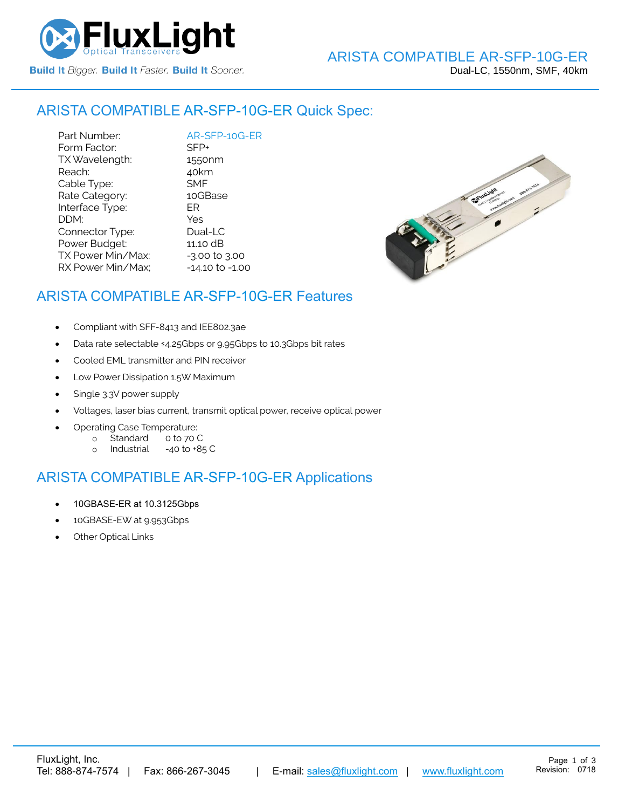

### ARISTA COMPATIBLE [AR-SFP-10G-ER](https://www.fluxlight.com/) Quick Spec:

Part Number: [AR-SFP-10G-ER](https://www.fluxlight.com/) Form Factor: SFP+ TX Wavelength: 1550nm Reach: 40km Cable Type: SMF Rate Category: 10GBase Interface Type: ER DDM: Yes Connector Type: Dual-LC Power Budget: 11.10 dB  $TX$  Power Min/Max:  $-3.00$  to  $3.00$ RX Power Min/Max; - 14.10 to -1.00



## ARISTA COMPATIBLE [AR-SFP-10G-ER](https://www.fluxlight.com/) Features

- Compliant with SFF-8413 and IEE802.3ae
- Data rate selectable ≤4.25Gbps or 9.95Gbps to 10.3Gbps bit rates
- Cooled EML transmitter and PIN receiver
- Low Power Dissipation 1.5W Maximum
- Single 3.3V power supply
- Voltages, laser bias current, transmit optical power, receive optical power
- Operating Case Temperature:
	- o Standard 0 to 70 C
	- o Industrial -40 to +85 C

#### ARISTA COMPATIBLE [AR-SFP-10G-ER](https://www.fluxlight.com/) Applications

- 10GBASE-ER at 10.3125Gbps
- 10GBASE-EW at 9.953Gbps
- **Other Optical Links**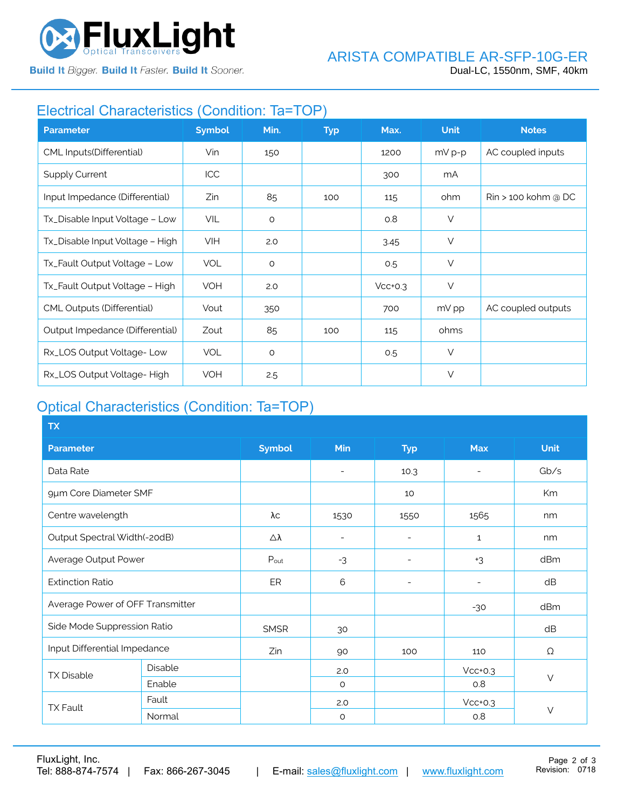

**Build It Bigger. Build It Faster. Build It Sooner.** 

# Electrical Characteristics (Condition: Ta=TOP)

| <b>Parameter</b>                  | <b>Symbol</b> | Min.    | <b>Typ</b> | Max.      | <b>Unit</b> | <b>Notes</b>                    |
|-----------------------------------|---------------|---------|------------|-----------|-------------|---------------------------------|
| CML Inputs(Differential)          | Vin           | 150     |            | 1200      | $mV p-p$    | AC coupled inputs               |
| <b>Supply Current</b>             | ICC           |         |            | 300       | mA          |                                 |
| Input Impedance (Differential)    | Zin           | 85      | 100        | 115       | ohm         | $\mathrm{R}$ in > 100 kohm @ DC |
| Tx_Disable Input Voltage - Low    | <b>VIL</b>    | $\circ$ |            | O.8       | $\vee$      |                                 |
| Tx_Disable Input Voltage - High   | <b>VIH</b>    | 2.0     |            | 3.45      | $\vee$      |                                 |
| Tx_Fault Output Voltage - Low     | <b>VOL</b>    | $\circ$ |            | 0.5       | $\vee$      |                                 |
| Tx_Fault Output Voltage - High    | VOH           | 2.0     |            | $Vcc+0.3$ | $\vee$      |                                 |
| <b>CML Outputs (Differential)</b> | Vout          | 350     |            | 700       | mV pp       | AC coupled outputs              |
| Output Impedance (Differential)   | Zout          | 85      | 100        | 115       | ohms        |                                 |
| Rx_LOS Output Voltage-Low         | <b>VOL</b>    | $\circ$ |            | 0.5       | $\vee$      |                                 |
| Rx_LOS Output Voltage-High        | <b>VOH</b>    | 2.5     |            |           | V           |                                 |

# Optical Characteristics (Condition: Ta=TOP)

| <b>TX</b>                        |         |               |                          |                          |              |             |  |
|----------------------------------|---------|---------------|--------------------------|--------------------------|--------------|-------------|--|
| <b>Parameter</b>                 |         | <b>Symbol</b> | Min                      | <b>Typ</b>               | <b>Max</b>   | <b>Unit</b> |  |
| Data Rate                        |         |               | $\overline{\phantom{a}}$ | 10.3                     |              | Gb/s        |  |
| 9µm Core Diameter SMF            |         |               |                          | 10                       |              | Km          |  |
| Centre wavelength                |         | λс            | 1530                     | 1550                     | 1565         | nm          |  |
| Output Spectral Width(-20dB)     |         | Δλ            | $\overline{\phantom{a}}$ | ۰                        | $\mathbf{1}$ | nm          |  |
| Average Output Power             |         | Pout          | $-3$                     | $\overline{\phantom{a}}$ | $+3$         | dBm         |  |
| <b>Extinction Ratio</b>          |         | ER            | 6                        | $\overline{a}$           |              | dB          |  |
| Average Power of OFF Transmitter |         |               |                          |                          | $-30$        | dBm         |  |
| Side Mode Suppression Ratio      |         | <b>SMSR</b>   | 30                       |                          |              | dB          |  |
| Input Differential Impedance     |         | Zin           | 90                       | 100                      | 110          | Ω           |  |
| <b>TX Disable</b>                | Disable |               | 2.0                      |                          | $Vcc+0.3$    | $\vee$      |  |
|                                  | Enable  |               | $\circ$                  |                          | 0.8          |             |  |
| <b>TX Fault</b>                  | Fault   |               | 2.0                      |                          | $Vcc+0.3$    |             |  |
|                                  | Normal  |               | $\circ$                  |                          | 0.8          | $\vee$      |  |